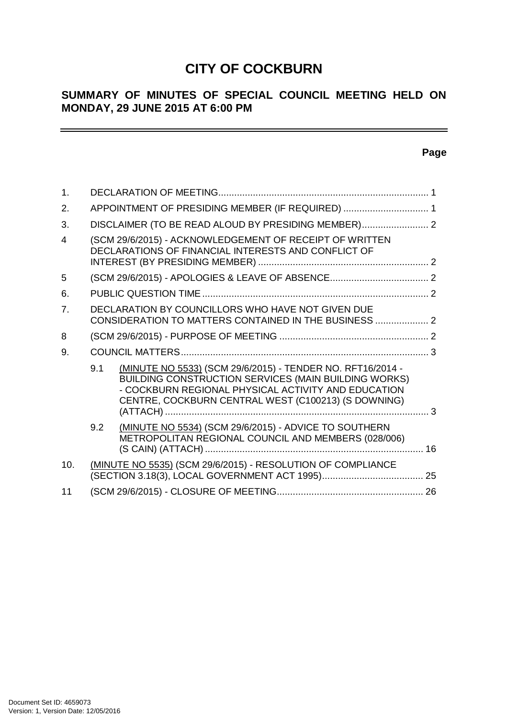# **CITY OF COCKBURN**

# **SUMMARY OF MINUTES OF SPECIAL COUNCIL MEETING HELD ON MONDAY, 29 JUNE 2015 AT 6:00 PM**

# **Page**

| 1.             |     |                                                                                                                                                                                                                                  |  |
|----------------|-----|----------------------------------------------------------------------------------------------------------------------------------------------------------------------------------------------------------------------------------|--|
| 2.             |     | APPOINTMENT OF PRESIDING MEMBER (IF REQUIRED)  1                                                                                                                                                                                 |  |
| 3.             |     | DISCLAIMER (TO BE READ ALOUD BY PRESIDING MEMBER) 2                                                                                                                                                                              |  |
| 4              |     | (SCM 29/6/2015) - ACKNOWLEDGEMENT OF RECEIPT OF WRITTEN<br>DECLARATIONS OF FINANCIAL INTERESTS AND CONFLICT OF                                                                                                                   |  |
| 5              |     |                                                                                                                                                                                                                                  |  |
| 6.             |     |                                                                                                                                                                                                                                  |  |
| 7 <sup>1</sup> |     | DECLARATION BY COUNCILLORS WHO HAVE NOT GIVEN DUE<br>CONSIDERATION TO MATTERS CONTAINED IN THE BUSINESS  2                                                                                                                       |  |
| 8              |     |                                                                                                                                                                                                                                  |  |
| 9.             |     |                                                                                                                                                                                                                                  |  |
|                | 9.1 | (MINUTE NO 5533) (SCM 29/6/2015) - TENDER NO. RFT16/2014 -<br>BUILDING CONSTRUCTION SERVICES (MAIN BUILDING WORKS)<br>- COCKBURN REGIONAL PHYSICAL ACTIVITY AND EDUCATION<br>CENTRE, COCKBURN CENTRAL WEST (C100213) (S DOWNING) |  |
|                | 9.2 | (MINUTE NO 5534) (SCM 29/6/2015) - ADVICE TO SOUTHERN<br>METROPOLITAN REGIONAL COUNCIL AND MEMBERS (028/006)                                                                                                                     |  |
| 10.            |     | (MINUTE NO 5535) (SCM 29/6/2015) - RESOLUTION OF COMPLIANCE                                                                                                                                                                      |  |
| 11             |     |                                                                                                                                                                                                                                  |  |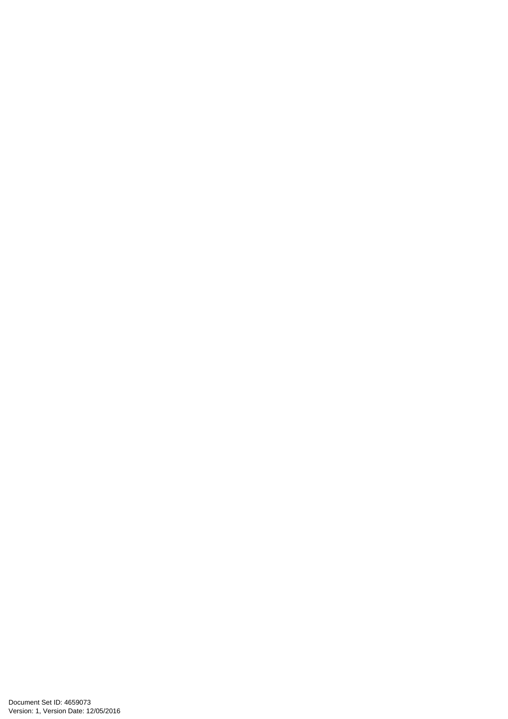Document Set ID: 4659073<br>Version: 1, Version Date: 12/05/2016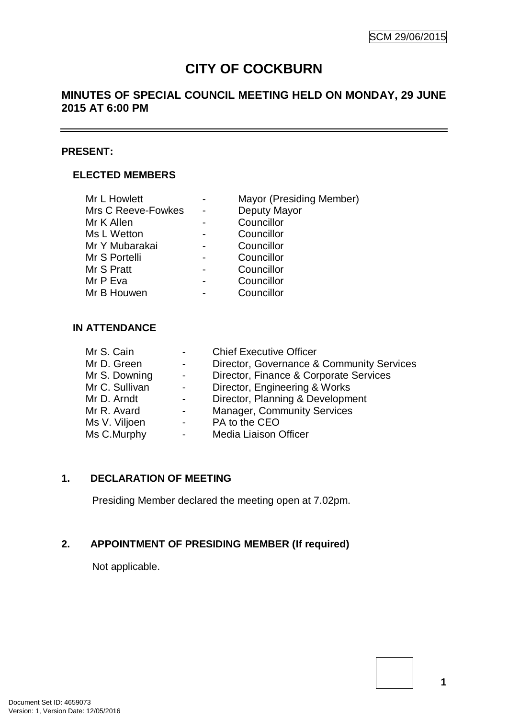—

# **CITY OF COCKBURN**

# **MINUTES OF SPECIAL COUNCIL MEETING HELD ON MONDAY, 29 JUNE 2015 AT 6:00 PM**

## **PRESENT:**

# **ELECTED MEMBERS**

| Mr L Howlett       |                | Mayor (Presiding Member) |
|--------------------|----------------|--------------------------|
| Mrs C Reeve-Fowkes |                | Deputy Mayor             |
| Mr K Allen         |                | Councillor               |
| Ms L Wetton        | -              | Councillor               |
| Mr Y Mubarakai     |                | Councillor               |
| Mr S Portelli      | -              | Councillor               |
| Mr S Pratt         | $\blacksquare$ | Councillor               |
| Mr P Eva           | -              | Councillor               |
| Mr B Houwen        |                | Councillor               |
|                    |                |                          |

## **IN ATTENDANCE**

| Mr S. Cain     |                | <b>Chief Executive Officer</b>            |
|----------------|----------------|-------------------------------------------|
| Mr D. Green    | $\blacksquare$ | Director, Governance & Community Services |
| Mr S. Downing  | $\blacksquare$ | Director, Finance & Corporate Services    |
| Mr C. Sullivan | $\sim$         | Director, Engineering & Works             |
| Mr D. Arndt    |                | Director, Planning & Development          |
| Mr R. Avard    | $\blacksquare$ | <b>Manager, Community Services</b>        |
| Ms V. Viljoen  | $\blacksquare$ | PA to the CEO                             |
| Ms C.Murphy    | $\mathbf{r}$   | Media Liaison Officer                     |
|                |                |                                           |

## **1. DECLARATION OF MEETING**

Presiding Member declared the meeting open at 7.02pm.

## **2. APPOINTMENT OF PRESIDING MEMBER (If required)**

Not applicable.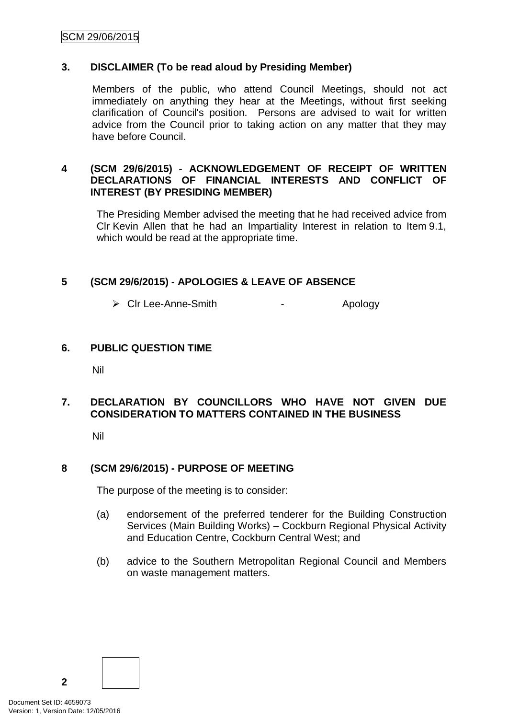## SCM 29/06/2015

#### **3. DISCLAIMER (To be read aloud by Presiding Member)**

Members of the public, who attend Council Meetings, should not act immediately on anything they hear at the Meetings, without first seeking clarification of Council's position. Persons are advised to wait for written advice from the Council prior to taking action on any matter that they may have before Council.

## **4 (SCM 29/6/2015) - ACKNOWLEDGEMENT OF RECEIPT OF WRITTEN DECLARATIONS OF FINANCIAL INTERESTS AND CONFLICT OF INTEREST (BY PRESIDING MEMBER)**

The Presiding Member advised the meeting that he had received advice from Clr Kevin Allen that he had an Impartiality Interest in relation to Item 9.1, which would be read at the appropriate time.

#### **5 (SCM 29/6/2015) - APOLOGIES & LEAVE OF ABSENCE**

> Cir Lee-Anne-Smith - Apology

#### **6. PUBLIC QUESTION TIME**

Nil

## **7. DECLARATION BY COUNCILLORS WHO HAVE NOT GIVEN DUE CONSIDERATION TO MATTERS CONTAINED IN THE BUSINESS**

Nil

## **8 (SCM 29/6/2015) - PURPOSE OF MEETING**

The purpose of the meeting is to consider:

- (a) endorsement of the preferred tenderer for the Building Construction Services (Main Building Works) – Cockburn Regional Physical Activity and Education Centre, Cockburn Central West; and
- (b) advice to the Southern Metropolitan Regional Council and Members on waste management matters.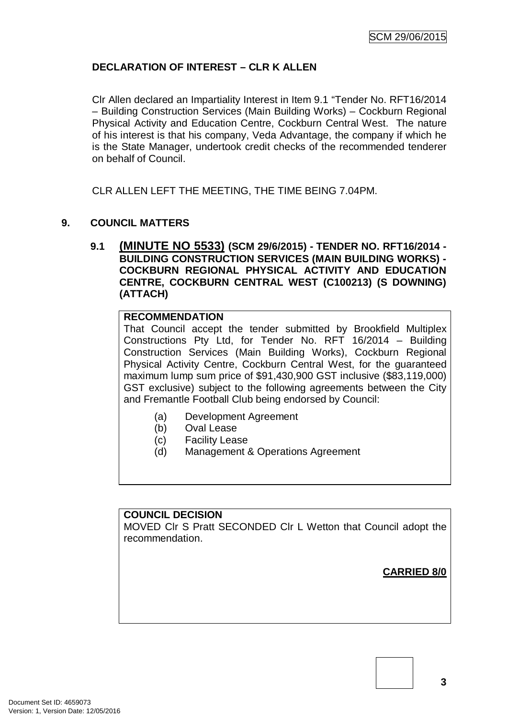## **DECLARATION OF INTEREST – CLR K ALLEN**

Clr Allen declared an Impartiality Interest in Item 9.1 "Tender No. RFT16/2014 – Building Construction Services (Main Building Works) – Cockburn Regional Physical Activity and Education Centre, Cockburn Central West. The nature of his interest is that his company, Veda Advantage, the company if which he is the State Manager, undertook credit checks of the recommended tenderer on behalf of Council.

CLR ALLEN LEFT THE MEETING, THE TIME BEING 7.04PM.

## **9. COUNCIL MATTERS**

**9.1 (MINUTE NO 5533) (SCM 29/6/2015) - TENDER NO. RFT16/2014 - BUILDING CONSTRUCTION SERVICES (MAIN BUILDING WORKS) - COCKBURN REGIONAL PHYSICAL ACTIVITY AND EDUCATION CENTRE, COCKBURN CENTRAL WEST (C100213) (S DOWNING) (ATTACH)**

# **RECOMMENDATION**

That Council accept the tender submitted by Brookfield Multiplex Constructions Pty Ltd, for Tender No. RFT 16/2014 – Building Construction Services (Main Building Works), Cockburn Regional Physical Activity Centre, Cockburn Central West, for the guaranteed maximum lump sum price of \$91,430,900 GST inclusive (\$83,119,000) GST exclusive) subject to the following agreements between the City and Fremantle Football Club being endorsed by Council:

- (a) Development Agreement
- (b) Oval Lease
- (c) Facility Lease
- (d) Management & Operations Agreement

#### **COUNCIL DECISION**

MOVED Clr S Pratt SECONDED Clr L Wetton that Council adopt the recommendation.

**CARRIED 8/0**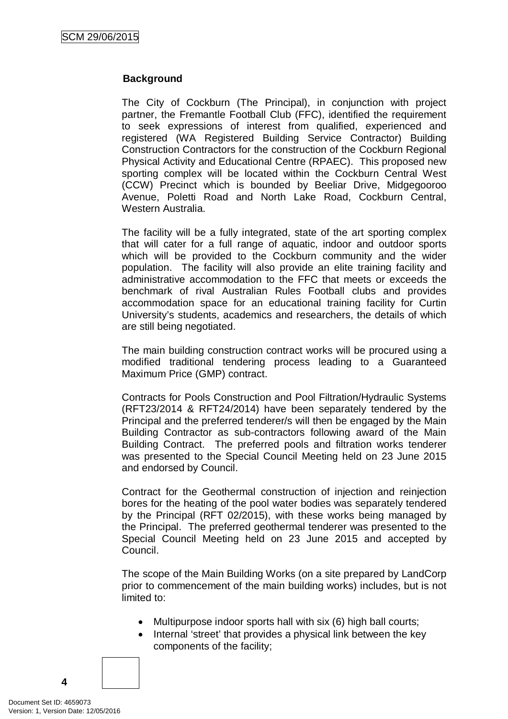## **Background**

The City of Cockburn (The Principal), in conjunction with project partner, the Fremantle Football Club (FFC), identified the requirement to seek expressions of interest from qualified, experienced and registered (WA Registered Building Service Contractor) Building Construction Contractors for the construction of the Cockburn Regional Physical Activity and Educational Centre (RPAEC). This proposed new sporting complex will be located within the Cockburn Central West (CCW) Precinct which is bounded by Beeliar Drive, Midgegooroo Avenue, Poletti Road and North Lake Road, Cockburn Central, Western Australia.

The facility will be a fully integrated, state of the art sporting complex that will cater for a full range of aquatic, indoor and outdoor sports which will be provided to the Cockburn community and the wider population. The facility will also provide an elite training facility and administrative accommodation to the FFC that meets or exceeds the benchmark of rival Australian Rules Football clubs and provides accommodation space for an educational training facility for Curtin University's students, academics and researchers, the details of which are still being negotiated.

The main building construction contract works will be procured using a modified traditional tendering process leading to a Guaranteed Maximum Price (GMP) contract.

Contracts for Pools Construction and Pool Filtration/Hydraulic Systems (RFT23/2014 & RFT24/2014) have been separately tendered by the Principal and the preferred tenderer/s will then be engaged by the Main Building Contractor as sub-contractors following award of the Main Building Contract. The preferred pools and filtration works tenderer was presented to the Special Council Meeting held on 23 June 2015 and endorsed by Council.

Contract for the Geothermal construction of injection and reinjection bores for the heating of the pool water bodies was separately tendered by the Principal (RFT 02/2015), with these works being managed by the Principal. The preferred geothermal tenderer was presented to the Special Council Meeting held on 23 June 2015 and accepted by Council.

The scope of the Main Building Works (on a site prepared by LandCorp prior to commencement of the main building works) includes, but is not limited to:

- Multipurpose indoor sports hall with six (6) high ball courts;
- Internal 'street' that provides a physical link between the key components of the facility;

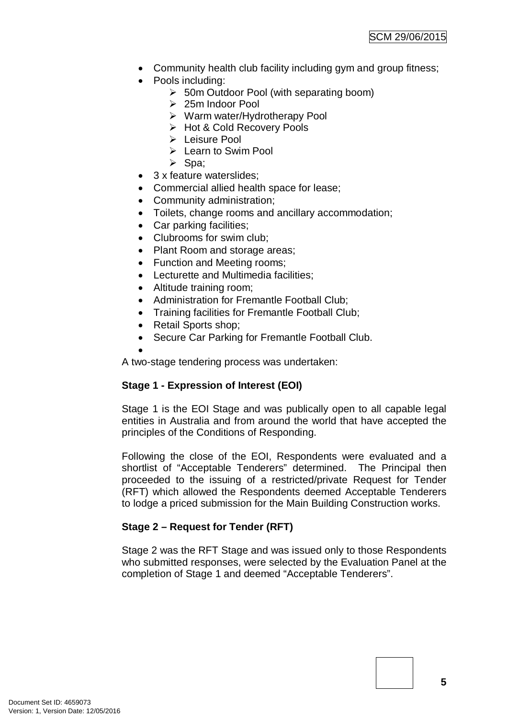- Community health club facility including gym and group fitness;
- Pools including:
	- 50m Outdoor Pool (with separating boom)
	- 25m Indoor Pool
	- Warm water/Hydrotherapy Pool
	- Hot & Cold Recovery Pools
	- > Leisure Pool
	- $\triangleright$  Learn to Swim Pool
	- $\triangleright$  Spa;
- 3 x feature waterslides:
- Commercial allied health space for lease;
- Community administration;
- Toilets, change rooms and ancillary accommodation;
- Car parking facilities;
- Clubrooms for swim club;
- Plant Room and storage areas:
- Function and Meeting rooms;
- Lecturette and Multimedia facilities;
- Altitude training room;
- Administration for Fremantle Football Club;
- Training facilities for Fremantle Football Club;
- Retail Sports shop:
- Secure Car Parking for Fremantle Football Club.
- •

A two-stage tendering process was undertaken:

# **Stage 1 - Expression of Interest (EOI)**

Stage 1 is the EOI Stage and was publically open to all capable legal entities in Australia and from around the world that have accepted the principles of the Conditions of Responding.

Following the close of the EOI, Respondents were evaluated and a shortlist of "Acceptable Tenderers" determined. The Principal then proceeded to the issuing of a restricted/private Request for Tender (RFT) which allowed the Respondents deemed Acceptable Tenderers to lodge a priced submission for the Main Building Construction works.

# **Stage 2 – Request for Tender (RFT)**

Stage 2 was the RFT Stage and was issued only to those Respondents who submitted responses, were selected by the Evaluation Panel at the completion of Stage 1 and deemed "Acceptable Tenderers".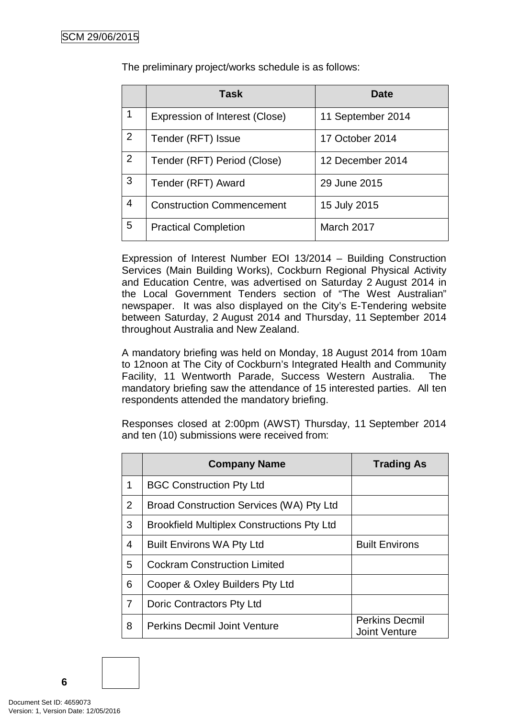|                | <b>Task</b>                      | Date              |
|----------------|----------------------------------|-------------------|
| 1              | Expression of Interest (Close)   | 11 September 2014 |
| 2              | Tender (RFT) Issue               | 17 October 2014   |
| $\overline{2}$ | Tender (RFT) Period (Close)      | 12 December 2014  |
| 3              | Tender (RFT) Award               | 29 June 2015      |
| 4              | <b>Construction Commencement</b> | 15 July 2015      |
| 5              | <b>Practical Completion</b>      | March 2017        |

The preliminary project/works schedule is as follows:

Expression of Interest Number EOI 13/2014 – Building Construction Services (Main Building Works), Cockburn Regional Physical Activity and Education Centre, was advertised on Saturday 2 August 2014 in the Local Government Tenders section of "The West Australian" newspaper. It was also displayed on the City's E-Tendering website between Saturday, 2 August 2014 and Thursday, 11 September 2014 throughout Australia and New Zealand.

A mandatory briefing was held on Monday, 18 August 2014 from 10am to 12noon at The City of Cockburn's Integrated Health and Community Facility, 11 Wentworth Parade, Success Western Australia. The mandatory briefing saw the attendance of 15 interested parties. All ten respondents attended the mandatory briefing.

Responses closed at 2:00pm (AWST) Thursday, 11 September 2014 and ten (10) submissions were received from:

|                | <b>Company Name</b>                               | <b>Trading As</b>                             |
|----------------|---------------------------------------------------|-----------------------------------------------|
| 1              | <b>BGC Construction Pty Ltd</b>                   |                                               |
| $\overline{2}$ | Broad Construction Services (WA) Pty Ltd          |                                               |
| 3              | <b>Brookfield Multiplex Constructions Pty Ltd</b> |                                               |
| 4              | <b>Built Environs WA Pty Ltd</b>                  | <b>Built Environs</b>                         |
| 5              | <b>Cockram Construction Limited</b>               |                                               |
| 6              | Cooper & Oxley Builders Pty Ltd                   |                                               |
| $\overline{7}$ | Doric Contractors Pty Ltd                         |                                               |
| 8              | <b>Perkins Decmil Joint Venture</b>               | <b>Perkins Decmil</b><br><b>Joint Venture</b> |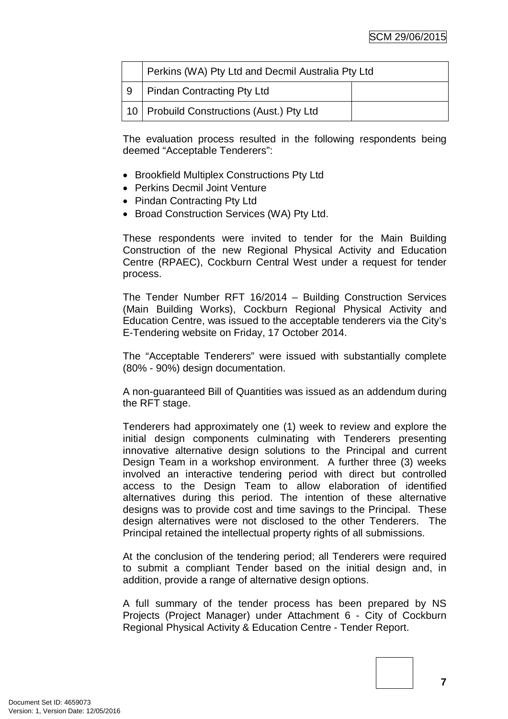|    | Perkins (WA) Pty Ltd and Decmil Australia Pty Ltd |  |  |
|----|---------------------------------------------------|--|--|
| -9 | Pindan Contracting Pty Ltd                        |  |  |
|    | 10   Probuild Constructions (Aust.) Pty Ltd       |  |  |

The evaluation process resulted in the following respondents being deemed "Acceptable Tenderers":

- Brookfield Multiplex Constructions Pty Ltd
- Perkins Decmil Joint Venture
- Pindan Contracting Pty Ltd
- Broad Construction Services (WA) Pty Ltd.

These respondents were invited to tender for the Main Building Construction of the new Regional Physical Activity and Education Centre (RPAEC), Cockburn Central West under a request for tender process.

The Tender Number RFT 16/2014 – Building Construction Services (Main Building Works), Cockburn Regional Physical Activity and Education Centre, was issued to the acceptable tenderers via the City's E-Tendering website on Friday, 17 October 2014.

The "Acceptable Tenderers" were issued with substantially complete (80% - 90%) design documentation.

A non-guaranteed Bill of Quantities was issued as an addendum during the RFT stage.

Tenderers had approximately one (1) week to review and explore the initial design components culminating with Tenderers presenting innovative alternative design solutions to the Principal and current Design Team in a workshop environment. A further three (3) weeks involved an interactive tendering period with direct but controlled access to the Design Team to allow elaboration of identified alternatives during this period. The intention of these alternative designs was to provide cost and time savings to the Principal. These design alternatives were not disclosed to the other Tenderers. The Principal retained the intellectual property rights of all submissions.

At the conclusion of the tendering period; all Tenderers were required to submit a compliant Tender based on the initial design and, in addition, provide a range of alternative design options.

A full summary of the tender process has been prepared by NS Projects (Project Manager) under Attachment 6 - City of Cockburn Regional Physical Activity & Education Centre - Tender Report.

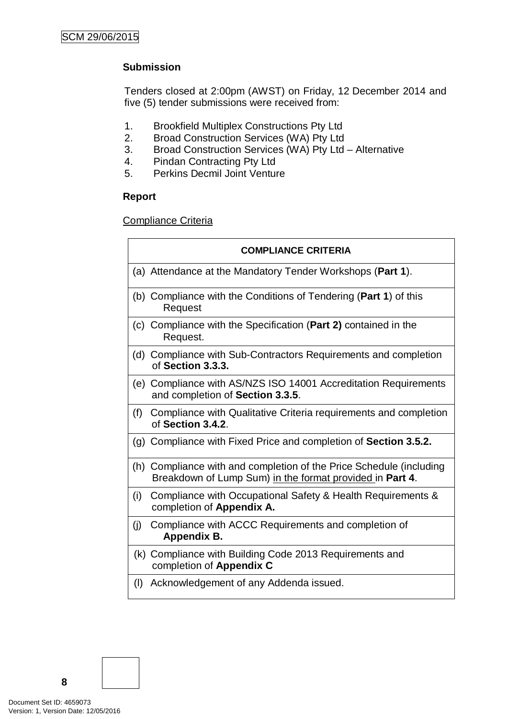## **Submission**

Tenders closed at 2:00pm (AWST) on Friday, 12 December 2014 and five (5) tender submissions were received from:

- 1. Brookfield Multiplex Constructions Pty Ltd<br>2. Broad Construction Services (WA) Pty Ltd
- 2. Broad Construction Services (WA) Pty Ltd<br>3. Broad Construction Services (WA) Pty Ltd
- Broad Construction Services (WA) Pty Ltd Alternative
- 4. Pindan Contracting Pty Ltd<br>5. Perkins Decmil Joint Ventur
- 5. Perkins Decmil Joint Venture

## **Report**

Compliance Criteria

|     | <b>COMPLIANCE CRITERIA</b>                                                                                                      |
|-----|---------------------------------------------------------------------------------------------------------------------------------|
|     | (a) Attendance at the Mandatory Tender Workshops ( <b>Part 1</b> ).                                                             |
|     | (b) Compliance with the Conditions of Tendering (Part 1) of this<br>Request                                                     |
|     | (c) Compliance with the Specification (Part 2) contained in the<br>Request.                                                     |
|     | (d) Compliance with Sub-Contractors Requirements and completion<br>of Section 3.3.3.                                            |
|     | (e) Compliance with AS/NZS ISO 14001 Accreditation Requirements<br>and completion of Section 3.3.5.                             |
| (f) | Compliance with Qualitative Criteria requirements and completion<br>of Section 3.4.2.                                           |
| (g) | Compliance with Fixed Price and completion of Section 3.5.2.                                                                    |
|     | (h) Compliance with and completion of the Price Schedule (including<br>Breakdown of Lump Sum) in the format provided in Part 4. |
| (i) | Compliance with Occupational Safety & Health Requirements &<br>completion of Appendix A.                                        |
| (j) | Compliance with ACCC Requirements and completion of<br>Appendix B.                                                              |
| (k) | Compliance with Building Code 2013 Requirements and<br>completion of Appendix C                                                 |
| (1) | Acknowledgement of any Addenda issued.                                                                                          |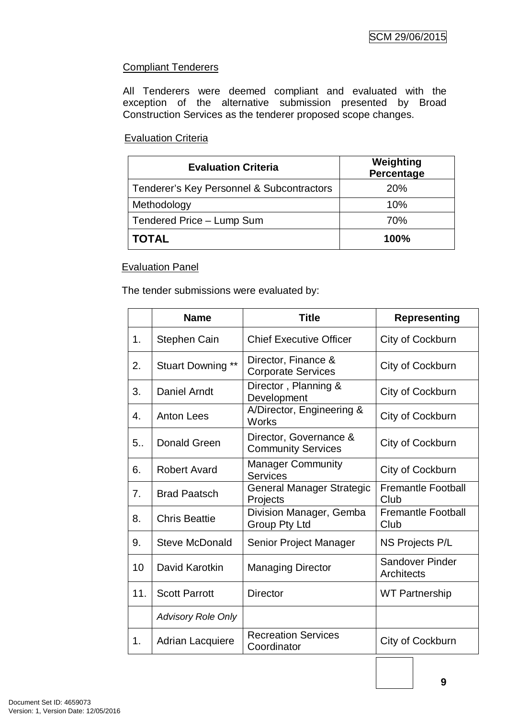# **Compliant Tenderers**

All Tenderers were deemed compliant and evaluated with the exception of the alternative submission presented by Broad Construction Services as the tenderer proposed scope changes.

## Evaluation Criteria

| <b>Evaluation Criteria</b>                | Weighting<br>Percentage |
|-------------------------------------------|-------------------------|
| Tenderer's Key Personnel & Subcontractors | <b>20%</b>              |
| Methodology                               | 10%                     |
| Tendered Price - Lump Sum                 | 70%                     |
| <b>TOTAL</b>                              | 100%                    |

## Evaluation Panel

The tender submissions were evaluated by:

|     | <b>Name</b>               | <b>Title</b>                                        | <b>Representing</b>               |
|-----|---------------------------|-----------------------------------------------------|-----------------------------------|
| 1.  | Stephen Cain              | <b>Chief Executive Officer</b>                      | City of Cockburn                  |
| 2.  | Stuart Downing **         | Director, Finance &<br><b>Corporate Services</b>    | City of Cockburn                  |
| 3.  | Daniel Arndt              | Director, Planning &<br>Development                 | City of Cockburn                  |
| 4.  | <b>Anton Lees</b>         | A/Director, Engineering &<br><b>Works</b>           | City of Cockburn                  |
| 5   | Donald Green              | Director, Governance &<br><b>Community Services</b> | City of Cockburn                  |
| 6.  | <b>Robert Avard</b>       | <b>Manager Community</b><br><b>Services</b>         | City of Cockburn                  |
| 7.  | <b>Brad Paatsch</b>       | <b>General Manager Strategic</b><br>Projects        | <b>Fremantle Football</b><br>Club |
| 8.  | <b>Chris Beattie</b>      | Division Manager, Gemba<br>Group Pty Ltd            | <b>Fremantle Football</b><br>Club |
| 9.  | <b>Steve McDonald</b>     | Senior Project Manager                              | NS Projects P/L                   |
| 10  | David Karotkin            | <b>Managing Director</b>                            | Sandover Pinder<br>Architects     |
| 11. | <b>Scott Parrott</b>      | <b>Director</b>                                     | <b>WT Partnership</b>             |
|     | <b>Advisory Role Only</b> |                                                     |                                   |
| 1.  | <b>Adrian Lacquiere</b>   | <b>Recreation Services</b><br>Coordinator           | City of Cockburn                  |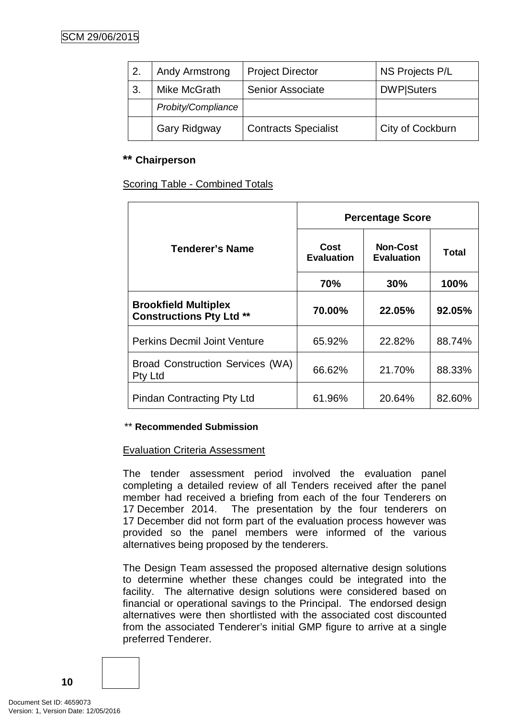| 2. | Andy Armstrong      | <b>Project Director</b>     | NS Projects P/L    |  |
|----|---------------------|-----------------------------|--------------------|--|
| 3. | Mike McGrath        | <b>Senior Associate</b>     | <b>DWP</b>  Suters |  |
|    | Probity/Compliance  |                             |                    |  |
|    | <b>Gary Ridgway</b> | <b>Contracts Specialist</b> | City of Cockburn   |  |

# **\*\* Chairperson**

## Scoring Table - Combined Totals

|                                                                | <b>Percentage Score</b>   |                                      |              |
|----------------------------------------------------------------|---------------------------|--------------------------------------|--------------|
| Tenderer's Name                                                | Cost<br><b>Evaluation</b> | <b>Non-Cost</b><br><b>Evaluation</b> | <b>Total</b> |
|                                                                | 70%                       | 30%                                  | 100%         |
| <b>Brookfield Multiplex</b><br><b>Constructions Pty Ltd **</b> | 70.00%                    | 22.05%                               | 92.05%       |
| <b>Perkins Decmil Joint Venture</b>                            | 65.92%                    | 22.82%                               | 88.74%       |
| Broad Construction Services (WA)<br>Pty Ltd                    | 66.62%                    | 21.70%                               | 88.33%       |
| <b>Pindan Contracting Pty Ltd</b>                              | 61.96%                    | 20.64%                               | 82.60%       |

## \*\* **Recommended Submission**

## Evaluation Criteria Assessment

The tender assessment period involved the evaluation panel completing a detailed review of all Tenders received after the panel member had received a briefing from each of the four Tenderers on 17 December 2014. The presentation by the four tenderers on 17 December did not form part of the evaluation process however was provided so the panel members were informed of the various alternatives being proposed by the tenderers.

The Design Team assessed the proposed alternative design solutions to determine whether these changes could be integrated into the facility. The alternative design solutions were considered based on financial or operational savings to the Principal. The endorsed design alternatives were then shortlisted with the associated cost discounted from the associated Tenderer's initial GMP figure to arrive at a single preferred Tenderer.

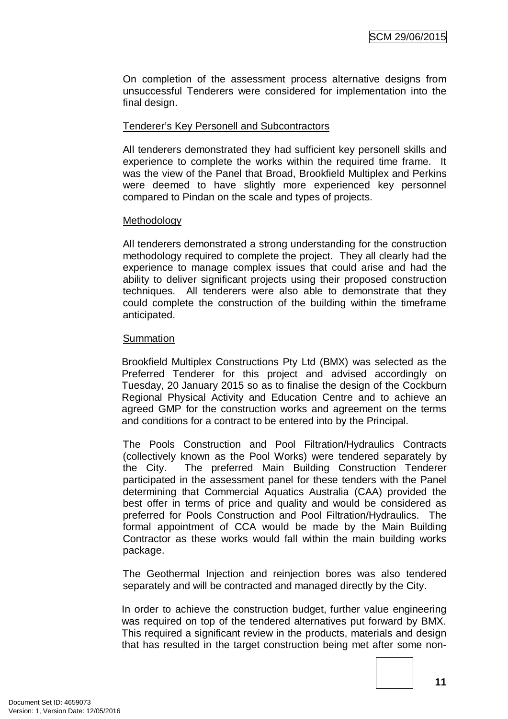On completion of the assessment process alternative designs from unsuccessful Tenderers were considered for implementation into the final design.

## Tenderer's Key Personell and Subcontractors

All tenderers demonstrated they had sufficient key personell skills and experience to complete the works within the required time frame. It was the view of the Panel that Broad, Brookfield Multiplex and Perkins were deemed to have slightly more experienced key personnel compared to Pindan on the scale and types of projects.

#### **Methodology**

All tenderers demonstrated a strong understanding for the construction methodology required to complete the project. They all clearly had the experience to manage complex issues that could arise and had the ability to deliver significant projects using their proposed construction techniques. All tenderers were also able to demonstrate that they could complete the construction of the building within the timeframe anticipated.

## **Summation**

Brookfield Multiplex Constructions Pty Ltd (BMX) was selected as the Preferred Tenderer for this project and advised accordingly on Tuesday, 20 January 2015 so as to finalise the design of the Cockburn Regional Physical Activity and Education Centre and to achieve an agreed GMP for the construction works and agreement on the terms and conditions for a contract to be entered into by the Principal.

The Pools Construction and Pool Filtration/Hydraulics Contracts (collectively known as the Pool Works) were tendered separately by the City. The preferred Main Building Construction Tenderer participated in the assessment panel for these tenders with the Panel determining that Commercial Aquatics Australia (CAA) provided the best offer in terms of price and quality and would be considered as preferred for Pools Construction and Pool Filtration/Hydraulics. The formal appointment of CCA would be made by the Main Building Contractor as these works would fall within the main building works package.

The Geothermal Injection and reinjection bores was also tendered separately and will be contracted and managed directly by the City.

In order to achieve the construction budget, further value engineering was required on top of the tendered alternatives put forward by BMX. This required a significant review in the products, materials and design that has resulted in the target construction being met after some non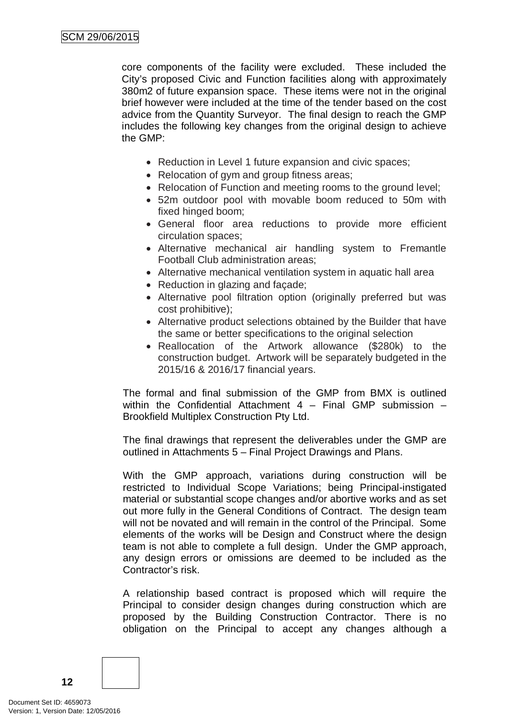core components of the facility were excluded. These included the City's proposed Civic and Function facilities along with approximately 380m2 of future expansion space. These items were not in the original brief however were included at the time of the tender based on the cost advice from the Quantity Surveyor. The final design to reach the GMP includes the following key changes from the original design to achieve the GMP:

- Reduction in Level 1 future expansion and civic spaces;
- Relocation of gym and group fitness areas;
- Relocation of Function and meeting rooms to the ground level;
- 52m outdoor pool with movable boom reduced to 50m with fixed hinged boom;
- General floor area reductions to provide more efficient circulation spaces;
- Alternative mechanical air handling system to Fremantle Football Club administration areas;
- Alternative mechanical ventilation system in aquatic hall area
- Reduction in glazing and façade;
- Alternative pool filtration option (originally preferred but was cost prohibitive);
- Alternative product selections obtained by the Builder that have the same or better specifications to the original selection
- Reallocation of the Artwork allowance (\$280k) to the construction budget. Artwork will be separately budgeted in the 2015/16 & 2016/17 financial years.

The formal and final submission of the GMP from BMX is outlined within the Confidential Attachment  $4$  – Final GMP submission – Brookfield Multiplex Construction Pty Ltd.

The final drawings that represent the deliverables under the GMP are outlined in Attachments 5 – Final Project Drawings and Plans.

With the GMP approach, variations during construction will be restricted to Individual Scope Variations; being Principal-instigated material or substantial scope changes and/or abortive works and as set out more fully in the General Conditions of Contract. The design team will not be novated and will remain in the control of the Principal. Some elements of the works will be Design and Construct where the design team is not able to complete a full design. Under the GMP approach, any design errors or omissions are deemed to be included as the Contractor's risk.

A relationship based contract is proposed which will require the Principal to consider design changes during construction which are proposed by the Building Construction Contractor. There is no obligation on the Principal to accept any changes although a

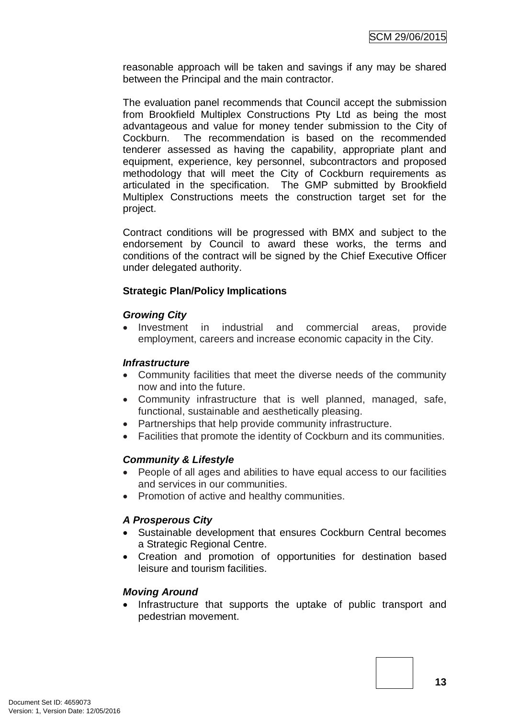reasonable approach will be taken and savings if any may be shared between the Principal and the main contractor.

The evaluation panel recommends that Council accept the submission from Brookfield Multiplex Constructions Pty Ltd as being the most advantageous and value for money tender submission to the City of Cockburn. The recommendation is based on the recommended tenderer assessed as having the capability, appropriate plant and equipment, experience, key personnel, subcontractors and proposed methodology that will meet the City of Cockburn requirements as articulated in the specification. The GMP submitted by Brookfield Multiplex Constructions meets the construction target set for the project.

Contract conditions will be progressed with BMX and subject to the endorsement by Council to award these works, the terms and conditions of the contract will be signed by the Chief Executive Officer under delegated authority.

## **Strategic Plan/Policy Implications**

#### *Growing City*

• Investment in industrial and commercial areas, provide employment, careers and increase economic capacity in the City.

#### *Infrastructure*

- Community facilities that meet the diverse needs of the community now and into the future.
- Community infrastructure that is well planned, managed, safe, functional, sustainable and aesthetically pleasing.
- Partnerships that help provide community infrastructure.
- Facilities that promote the identity of Cockburn and its communities.

## *Community & Lifestyle*

- People of all ages and abilities to have equal access to our facilities and services in our communities.
- Promotion of active and healthy communities.

## *A Prosperous City*

- Sustainable development that ensures Cockburn Central becomes a Strategic Regional Centre.
- Creation and promotion of opportunities for destination based leisure and tourism facilities.

## *Moving Around*

• Infrastructure that supports the uptake of public transport and pedestrian movement.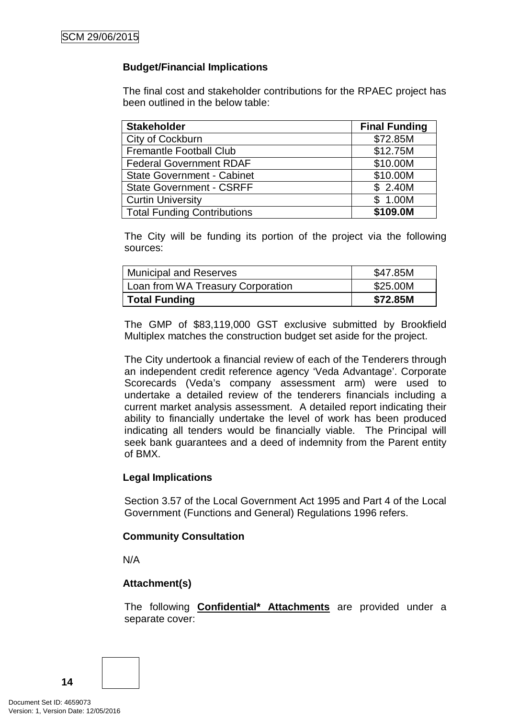## **Budget/Financial Implications**

The final cost and stakeholder contributions for the RPAEC project has been outlined in the below table:

| <b>Stakeholder</b>                 | <b>Final Funding</b> |
|------------------------------------|----------------------|
| City of Cockburn                   | \$72.85M             |
| <b>Fremantle Football Club</b>     | \$12.75M             |
| <b>Federal Government RDAF</b>     | \$10.00M             |
| <b>State Government - Cabinet</b>  | \$10.00M             |
| <b>State Government - CSRFF</b>    | \$2.40M              |
| <b>Curtin University</b>           | \$ 1.00M             |
| <b>Total Funding Contributions</b> | \$109.0M             |

The City will be funding its portion of the project via the following sources:

| Municipal and Reserves            | \$47.85M |
|-----------------------------------|----------|
| Loan from WA Treasury Corporation | \$25.00M |
| <b>Total Funding</b>              | \$72.85M |

The GMP of \$83,119,000 GST exclusive submitted by Brookfield Multiplex matches the construction budget set aside for the project.

The City undertook a financial review of each of the Tenderers through an independent credit reference agency 'Veda Advantage'. Corporate Scorecards (Veda's company assessment arm) were used to undertake a detailed review of the tenderers financials including a current market analysis assessment. A detailed report indicating their ability to financially undertake the level of work has been produced indicating all tenders would be financially viable. The Principal will seek bank guarantees and a deed of indemnity from the Parent entity of BMX.

## **Legal Implications**

Section 3.57 of the Local Government Act 1995 and Part 4 of the Local Government (Functions and General) Regulations 1996 refers.

## **Community Consultation**

N/A

# **Attachment(s)**

The following **Confidential\* Attachments** are provided under a separate cover:

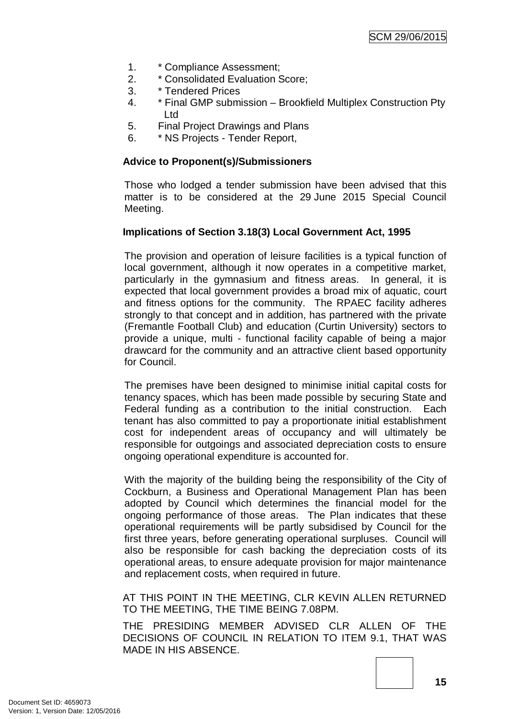- 1. \* Compliance Assessment;
- 2. \* Consolidated Evaluation Score;
- 3. \* Tendered Prices
- 4. \* Final GMP submission Brookfield Multiplex Construction Pty Ltd
- 5. Final Project Drawings and Plans
- 6. \* NS Projects Tender Report,

#### **Advice to Proponent(s)/Submissioners**

Those who lodged a tender submission have been advised that this matter is to be considered at the 29 June 2015 Special Council Meeting.

#### **Implications of Section 3.18(3) Local Government Act, 1995**

The provision and operation of leisure facilities is a typical function of local government, although it now operates in a competitive market, particularly in the gymnasium and fitness areas. In general, it is expected that local government provides a broad mix of aquatic, court and fitness options for the community. The RPAEC facility adheres strongly to that concept and in addition, has partnered with the private (Fremantle Football Club) and education (Curtin University) sectors to provide a unique, multi - functional facility capable of being a major drawcard for the community and an attractive client based opportunity for Council.

The premises have been designed to minimise initial capital costs for tenancy spaces, which has been made possible by securing State and Federal funding as a contribution to the initial construction. Each tenant has also committed to pay a proportionate initial establishment cost for independent areas of occupancy and will ultimately be responsible for outgoings and associated depreciation costs to ensure ongoing operational expenditure is accounted for.

With the majority of the building being the responsibility of the City of Cockburn, a Business and Operational Management Plan has been adopted by Council which determines the financial model for the ongoing performance of those areas. The Plan indicates that these operational requirements will be partly subsidised by Council for the first three years, before generating operational surpluses. Council will also be responsible for cash backing the depreciation costs of its operational areas, to ensure adequate provision for major maintenance and replacement costs, when required in future.

AT THIS POINT IN THE MEETING, CLR KEVIN ALLEN RETURNED TO THE MEETING, THE TIME BEING 7.08PM.

THE PRESIDING MEMBER ADVISED CLR ALLEN OF THE DECISIONS OF COUNCIL IN RELATION TO ITEM 9.1, THAT WAS MADE IN HIS ABSENCE.

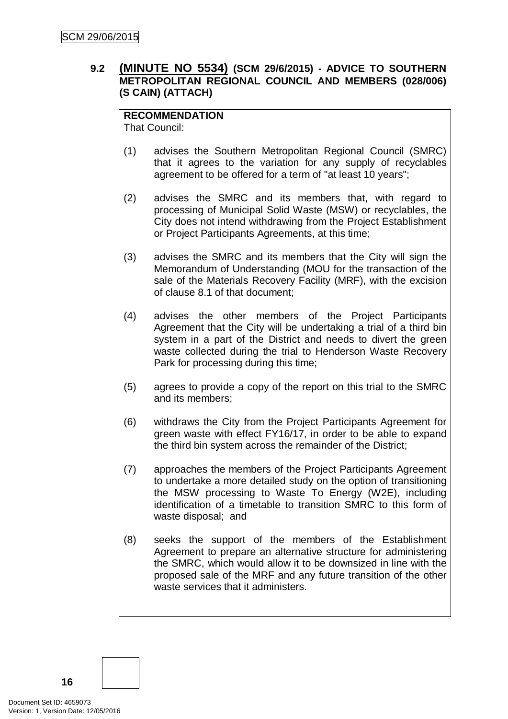## **9.2 (MINUTE NO 5534) (SCM 29/6/2015) - ADVICE TO SOUTHERN METROPOLITAN REGIONAL COUNCIL AND MEMBERS (028/006) (S CAIN) (ATTACH)**

# **RECOMMENDATION**

That Council:

- (1) advises the Southern Metropolitan Regional Council (SMRC) that it agrees to the variation for any supply of recyclables agreement to be offered for a term of "at least 10 years";
- (2) advises the SMRC and its members that, with regard to processing of Municipal Solid Waste (MSW) or recyclables, the City does not intend withdrawing from the Project Establishment or Project Participants Agreements, at this time;
- (3) advises the SMRC and its members that the City will sign the Memorandum of Understanding (MOU for the transaction of the sale of the Materials Recovery Facility (MRF), with the excision of clause 8.1 of that document;
- (4) advises the other members of the Project Participants Agreement that the City will be undertaking a trial of a third bin system in a part of the District and needs to divert the green waste collected during the trial to Henderson Waste Recovery Park for processing during this time;
- (5) agrees to provide a copy of the report on this trial to the SMRC and its members;
- (6) withdraws the City from the Project Participants Agreement for green waste with effect FY16/17, in order to be able to expand the third bin system across the remainder of the District;
- (7) approaches the members of the Project Participants Agreement to undertake a more detailed study on the option of transitioning the MSW processing to Waste To Energy (W2E), including identification of a timetable to transition SMRC to this form of waste disposal; and
- (8) seeks the support of the members of the Establishment Agreement to prepare an alternative structure for administering the SMRC, which would allow it to be downsized in line with the proposed sale of the MRF and any future transition of the other waste services that it administers.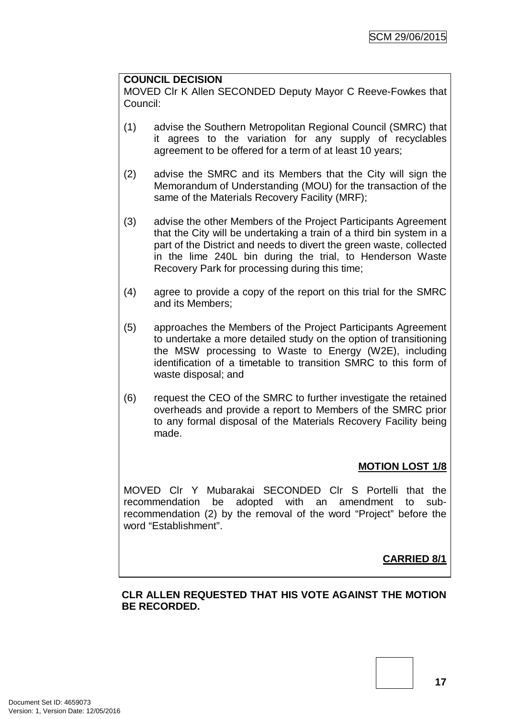## **COUNCIL DECISION**

MOVED Clr K Allen SECONDED Deputy Mayor C Reeve-Fowkes that Council:

- (1) advise the Southern Metropolitan Regional Council (SMRC) that it agrees to the variation for any supply of recyclables agreement to be offered for a term of at least 10 years;
- (2) advise the SMRC and its Members that the City will sign the Memorandum of Understanding (MOU) for the transaction of the same of the Materials Recovery Facility (MRF);
- (3) advise the other Members of the Project Participants Agreement that the City will be undertaking a train of a third bin system in a part of the District and needs to divert the green waste, collected in the lime 240L bin during the trial, to Henderson Waste Recovery Park for processing during this time;
- (4) agree to provide a copy of the report on this trial for the SMRC and its Members;
- (5) approaches the Members of the Project Participants Agreement to undertake a more detailed study on the option of transitioning the MSW processing to Waste to Energy (W2E), including identification of a timetable to transition SMRC to this form of waste disposal; and
- (6) request the CEO of the SMRC to further investigate the retained overheads and provide a report to Members of the SMRC prior to any formal disposal of the Materials Recovery Facility being made.

## **MOTION LOST 1/8**

MOVED Clr Y Mubarakai SECONDED Clr S Portelli that the recommendation be adopted with an amendment to subrecommendation (2) by the removal of the word "Project" before the word "Establishment".

# **CARRIED 8/1**

## **CLR ALLEN REQUESTED THAT HIS VOTE AGAINST THE MOTION BE RECORDED.**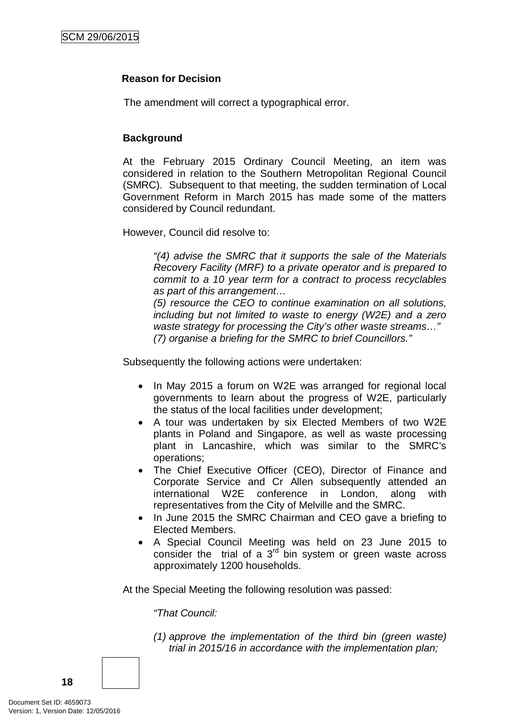## **Reason for Decision**

The amendment will correct a typographical error.

## **Background**

At the February 2015 Ordinary Council Meeting, an item was considered in relation to the Southern Metropolitan Regional Council (SMRC). Subsequent to that meeting, the sudden termination of Local Government Reform in March 2015 has made some of the matters considered by Council redundant.

However, Council did resolve to:

*"(4) advise the SMRC that it supports the sale of the Materials Recovery Facility (MRF) to a private operator and is prepared to commit to a 10 year term for a contract to process recyclables as part of this arrangement…*

*(5) resource the CEO to continue examination on all solutions, including but not limited to waste to energy (W2E) and a zero waste strategy for processing the City's other waste streams…" (7) organise a briefing for the SMRC to brief Councillors."*

Subsequently the following actions were undertaken:

- In May 2015 a forum on W2E was arranged for regional local governments to learn about the progress of W2E, particularly the status of the local facilities under development;
- A tour was undertaken by six Elected Members of two W2E plants in Poland and Singapore, as well as waste processing plant in Lancashire, which was similar to the SMRC's operations;
- The Chief Executive Officer (CEO), Director of Finance and Corporate Service and Cr Allen subsequently attended an international W2E conference in London, along with representatives from the City of Melville and the SMRC.
- In June 2015 the SMRC Chairman and CEO gave a briefing to Elected Members.
- A Special Council Meeting was held on 23 June 2015 to consider the trial of a  $3<sup>rd</sup>$  bin system or green waste across approximately 1200 households.

At the Special Meeting the following resolution was passed:

*"That Council:*

*(1) approve the implementation of the third bin (green waste) trial in 2015/16 in accordance with the implementation plan;*

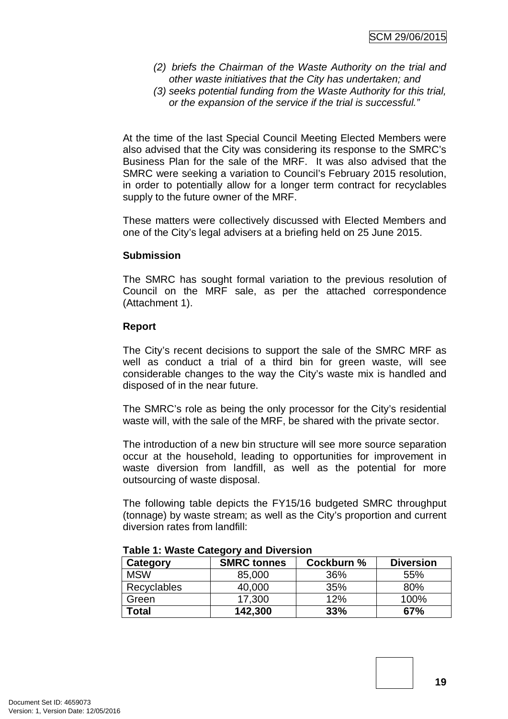- *(2) briefs the Chairman of the Waste Authority on the trial and other waste initiatives that the City has undertaken; and*
- *(3) seeks potential funding from the Waste Authority for this trial, or the expansion of the service if the trial is successful."*

At the time of the last Special Council Meeting Elected Members were also advised that the City was considering its response to the SMRC's Business Plan for the sale of the MRF. It was also advised that the SMRC were seeking a variation to Council's February 2015 resolution, in order to potentially allow for a longer term contract for recyclables supply to the future owner of the MRF.

These matters were collectively discussed with Elected Members and one of the City's legal advisers at a briefing held on 25 June 2015.

#### **Submission**

The SMRC has sought formal variation to the previous resolution of Council on the MRF sale, as per the attached correspondence (Attachment 1).

#### **Report**

The City's recent decisions to support the sale of the SMRC MRF as well as conduct a trial of a third bin for green waste, will see considerable changes to the way the City's waste mix is handled and disposed of in the near future.

The SMRC's role as being the only processor for the City's residential waste will, with the sale of the MRF, be shared with the private sector.

The introduction of a new bin structure will see more source separation occur at the household, leading to opportunities for improvement in waste diversion from landfill, as well as the potential for more outsourcing of waste disposal.

The following table depicts the FY15/16 budgeted SMRC throughput (tonnage) by waste stream; as well as the City's proportion and current diversion rates from landfill:

| Category    | <b>SMRC tonnes</b> | Cockburn % | <b>Diversion</b> |
|-------------|--------------------|------------|------------------|
| <b>MSW</b>  | 85,000             | 36%        | 55%              |
| Recyclables | 40,000             | 35%        | 80%              |
| Green       | 17,300             | 12%        | 100%             |
| Total       | 142,300            | 33%        | 67%              |

**Table 1: Waste Category and Diversion**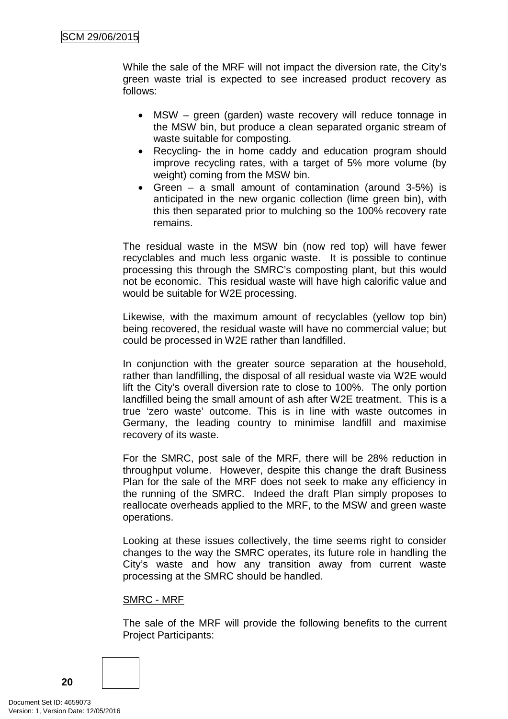While the sale of the MRF will not impact the diversion rate, the City's green waste trial is expected to see increased product recovery as follows:

- MSW green (garden) waste recovery will reduce tonnage in the MSW bin, but produce a clean separated organic stream of waste suitable for composting.
- Recycling- the in home caddy and education program should improve recycling rates, with a target of 5% more volume (by weight) coming from the MSW bin.
- Green a small amount of contamination (around 3-5%) is anticipated in the new organic collection (lime green bin), with this then separated prior to mulching so the 100% recovery rate remains.

The residual waste in the MSW bin (now red top) will have fewer recyclables and much less organic waste. It is possible to continue processing this through the SMRC's composting plant, but this would not be economic. This residual waste will have high calorific value and would be suitable for W2E processing.

Likewise, with the maximum amount of recyclables (yellow top bin) being recovered, the residual waste will have no commercial value; but could be processed in W2E rather than landfilled.

In conjunction with the greater source separation at the household, rather than landfilling, the disposal of all residual waste via W2E would lift the City's overall diversion rate to close to 100%. The only portion landfilled being the small amount of ash after W2E treatment. This is a true 'zero waste' outcome. This is in line with waste outcomes in Germany, the leading country to minimise landfill and maximise recovery of its waste.

For the SMRC, post sale of the MRF, there will be 28% reduction in throughput volume. However, despite this change the draft Business Plan for the sale of the MRF does not seek to make any efficiency in the running of the SMRC. Indeed the draft Plan simply proposes to reallocate overheads applied to the MRF, to the MSW and green waste operations.

Looking at these issues collectively, the time seems right to consider changes to the way the SMRC operates, its future role in handling the City's waste and how any transition away from current waste processing at the SMRC should be handled.

#### SMRC - MRF

The sale of the MRF will provide the following benefits to the current Project Participants:

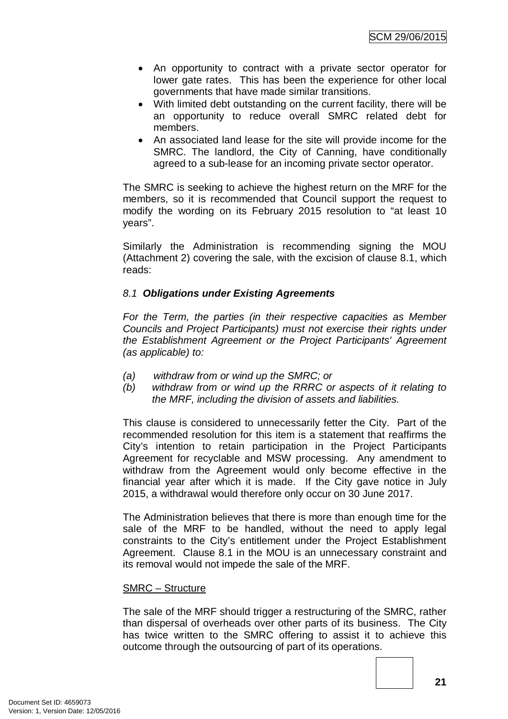- An opportunity to contract with a private sector operator for lower gate rates. This has been the experience for other local governments that have made similar transitions.
- With limited debt outstanding on the current facility, there will be an opportunity to reduce overall SMRC related debt for members.
- An associated land lease for the site will provide income for the SMRC. The landlord, the City of Canning, have conditionally agreed to a sub-lease for an incoming private sector operator.

The SMRC is seeking to achieve the highest return on the MRF for the members, so it is recommended that Council support the request to modify the wording on its February 2015 resolution to "at least 10 years".

Similarly the Administration is recommending signing the MOU (Attachment 2) covering the sale, with the excision of clause 8.1, which reads:

## *8.1 Obligations under Existing Agreements*

*For the Term, the parties (in their respective capacities as Member Councils and Project Participants) must not exercise their rights under the Establishment Agreement or the Project Participants' Agreement (as applicable) to:*

- *(a) withdraw from or wind up the SMRC; or*
- *(b) withdraw from or wind up the RRRC or aspects of it relating to the MRF, including the division of assets and liabilities.*

This clause is considered to unnecessarily fetter the City. Part of the recommended resolution for this item is a statement that reaffirms the City's intention to retain participation in the Project Participants Agreement for recyclable and MSW processing. Any amendment to withdraw from the Agreement would only become effective in the financial year after which it is made. If the City gave notice in July 2015, a withdrawal would therefore only occur on 30 June 2017.

The Administration believes that there is more than enough time for the sale of the MRF to be handled, without the need to apply legal constraints to the City's entitlement under the Project Establishment Agreement. Clause 8.1 in the MOU is an unnecessary constraint and its removal would not impede the sale of the MRF.

## SMRC – Structure

The sale of the MRF should trigger a restructuring of the SMRC, rather than dispersal of overheads over other parts of its business. The City has twice written to the SMRC offering to assist it to achieve this outcome through the outsourcing of part of its operations.

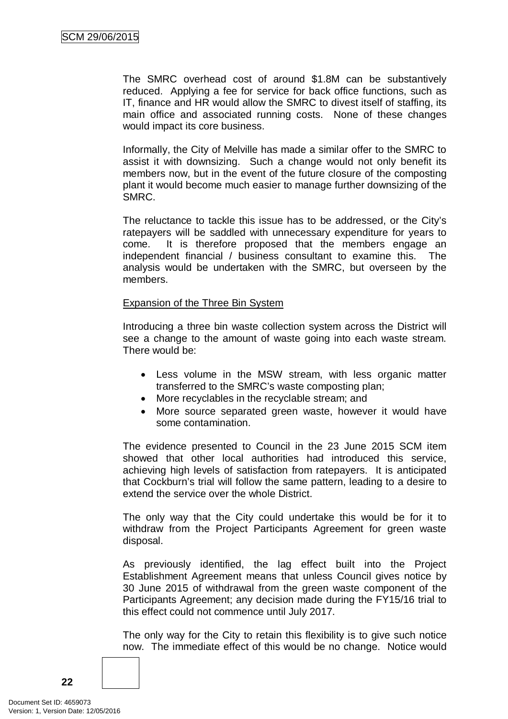The SMRC overhead cost of around \$1.8M can be substantively reduced. Applying a fee for service for back office functions, such as IT, finance and HR would allow the SMRC to divest itself of staffing, its main office and associated running costs. None of these changes would impact its core business.

Informally, the City of Melville has made a similar offer to the SMRC to assist it with downsizing. Such a change would not only benefit its members now, but in the event of the future closure of the composting plant it would become much easier to manage further downsizing of the SMRC.

The reluctance to tackle this issue has to be addressed, or the City's ratepayers will be saddled with unnecessary expenditure for years to come. It is therefore proposed that the members engage an independent financial / business consultant to examine this. The analysis would be undertaken with the SMRC, but overseen by the members.

#### Expansion of the Three Bin System

Introducing a three bin waste collection system across the District will see a change to the amount of waste going into each waste stream. There would be:

- Less volume in the MSW stream, with less organic matter transferred to the SMRC's waste composting plan;
- More recyclables in the recyclable stream; and
- More source separated green waste, however it would have some contamination.

The evidence presented to Council in the 23 June 2015 SCM item showed that other local authorities had introduced this service, achieving high levels of satisfaction from ratepayers. It is anticipated that Cockburn's trial will follow the same pattern, leading to a desire to extend the service over the whole District.

The only way that the City could undertake this would be for it to withdraw from the Project Participants Agreement for green waste disposal.

As previously identified, the lag effect built into the Project Establishment Agreement means that unless Council gives notice by 30 June 2015 of withdrawal from the green waste component of the Participants Agreement; any decision made during the FY15/16 trial to this effect could not commence until July 2017.

The only way for the City to retain this flexibility is to give such notice now. The immediate effect of this would be no change. Notice would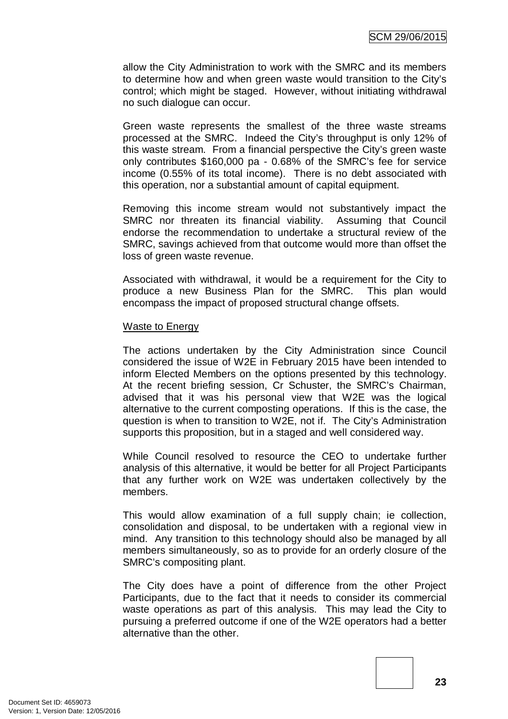allow the City Administration to work with the SMRC and its members to determine how and when green waste would transition to the City's control; which might be staged. However, without initiating withdrawal no such dialogue can occur.

Green waste represents the smallest of the three waste streams processed at the SMRC. Indeed the City's throughput is only 12% of this waste stream. From a financial perspective the City's green waste only contributes \$160,000 pa - 0.68% of the SMRC's fee for service income (0.55% of its total income). There is no debt associated with this operation, nor a substantial amount of capital equipment.

Removing this income stream would not substantively impact the SMRC nor threaten its financial viability. Assuming that Council endorse the recommendation to undertake a structural review of the SMRC, savings achieved from that outcome would more than offset the loss of green waste revenue.

Associated with withdrawal, it would be a requirement for the City to produce a new Business Plan for the SMRC. This plan would encompass the impact of proposed structural change offsets.

#### Waste to Energy

The actions undertaken by the City Administration since Council considered the issue of W2E in February 2015 have been intended to inform Elected Members on the options presented by this technology. At the recent briefing session, Cr Schuster, the SMRC's Chairman, advised that it was his personal view that W2E was the logical alternative to the current composting operations. If this is the case, the question is when to transition to W2E, not if. The City's Administration supports this proposition, but in a staged and well considered way.

While Council resolved to resource the CEO to undertake further analysis of this alternative, it would be better for all Project Participants that any further work on W2E was undertaken collectively by the members.

This would allow examination of a full supply chain; ie collection, consolidation and disposal, to be undertaken with a regional view in mind. Any transition to this technology should also be managed by all members simultaneously, so as to provide for an orderly closure of the SMRC's compositing plant.

The City does have a point of difference from the other Project Participants, due to the fact that it needs to consider its commercial waste operations as part of this analysis. This may lead the City to pursuing a preferred outcome if one of the W2E operators had a better alternative than the other.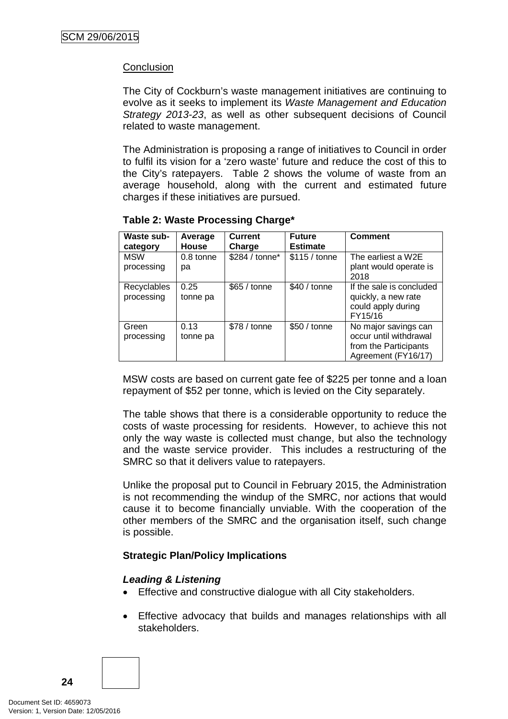## **Conclusion**

The City of Cockburn's waste management initiatives are continuing to evolve as it seeks to implement its *Waste Management and Education Strategy 2013-23*, as well as other subsequent decisions of Council related to waste management.

The Administration is proposing a range of initiatives to Council in order to fulfil its vision for a 'zero waste' future and reduce the cost of this to the City's ratepayers. Table 2 shows the volume of waste from an average household, along with the current and estimated future charges if these initiatives are pursued.

| Waste sub-<br>category    | Average<br><b>House</b> | <b>Current</b><br>Charge | <b>Future</b><br><b>Estimate</b> | <b>Comment</b>                                                                                 |
|---------------------------|-------------------------|--------------------------|----------------------------------|------------------------------------------------------------------------------------------------|
| <b>MSW</b><br>processing  | 0.8 tonne<br>рa         | \$284 / tonne*           | \$115/tonne                      | The earliest a W2E<br>plant would operate is<br>2018                                           |
| Recyclables<br>processing | 0.25<br>tonne pa        | $$65 /$ tonne            | \$40 / tonne                     | If the sale is concluded<br>quickly, a new rate<br>could apply during<br>FY15/16               |
| Green<br>processing       | 0.13<br>tonne pa        | \$78 / tonne             | $$50 /$ tonne                    | No major savings can<br>occur until withdrawal<br>from the Participants<br>Agreement (FY16/17) |

#### **Table 2: Waste Processing Charge\***

MSW costs are based on current gate fee of \$225 per tonne and a loan repayment of \$52 per tonne, which is levied on the City separately.

The table shows that there is a considerable opportunity to reduce the costs of waste processing for residents. However, to achieve this not only the way waste is collected must change, but also the technology and the waste service provider. This includes a restructuring of the SMRC so that it delivers value to ratepayers.

Unlike the proposal put to Council in February 2015, the Administration is not recommending the windup of the SMRC, nor actions that would cause it to become financially unviable. With the cooperation of the other members of the SMRC and the organisation itself, such change is possible.

## **Strategic Plan/Policy Implications**

#### *Leading & Listening*

- Effective and constructive dialogue with all City stakeholders.
- Effective advocacy that builds and manages relationships with all stakeholders.

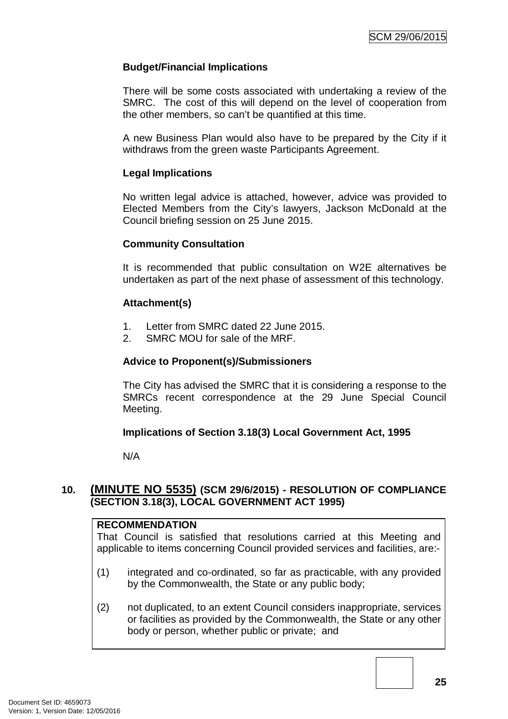## **Budget/Financial Implications**

There will be some costs associated with undertaking a review of the SMRC. The cost of this will depend on the level of cooperation from the other members, so can't be quantified at this time.

A new Business Plan would also have to be prepared by the City if it withdraws from the green waste Participants Agreement.

## **Legal Implications**

No written legal advice is attached, however, advice was provided to Elected Members from the City's lawyers, Jackson McDonald at the Council briefing session on 25 June 2015.

## **Community Consultation**

It is recommended that public consultation on W2E alternatives be undertaken as part of the next phase of assessment of this technology.

## **Attachment(s)**

- 1. Letter from SMRC dated 22 June 2015.
- 2. SMRC MOU for sale of the MRF.

#### **Advice to Proponent(s)/Submissioners**

The City has advised the SMRC that it is considering a response to the SMRCs recent correspondence at the 29 June Special Council Meeting.

## **Implications of Section 3.18(3) Local Government Act, 1995**

N/A

## **10. (MINUTE NO 5535) (SCM 29/6/2015) - RESOLUTION OF COMPLIANCE (SECTION 3.18(3), LOCAL GOVERNMENT ACT 1995)**

## **RECOMMENDATION**

That Council is satisfied that resolutions carried at this Meeting and applicable to items concerning Council provided services and facilities, are:-

- (1) integrated and co-ordinated, so far as practicable, with any provided by the Commonwealth, the State or any public body;
- (2) not duplicated, to an extent Council considers inappropriate, services or facilities as provided by the Commonwealth, the State or any other body or person, whether public or private; and